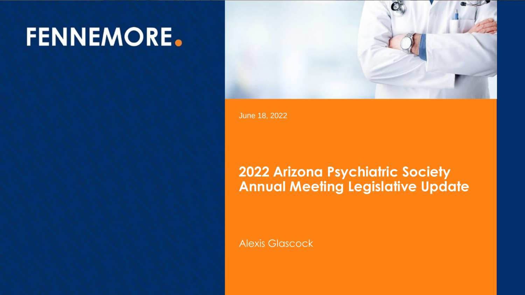# **FENNEMORE.**



Meeting Legislative Update Update Update Update Update Update Update Update Update Update Update Update Update June 18, 2022

#### Alexis Glascock **2022 Arizona Psychiatric Society Annual Meeting Legislative Update**

Alexis Glascock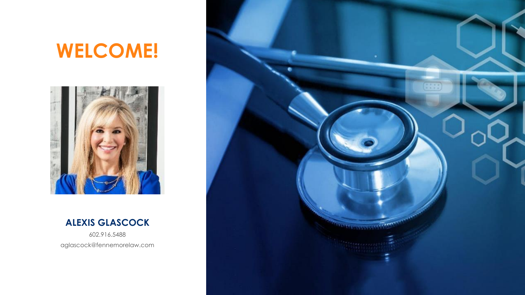# **WELCOME!**



#### **ALEXIS GLASCOCK**

602.916.5488 aglascock@fennemorelaw.com

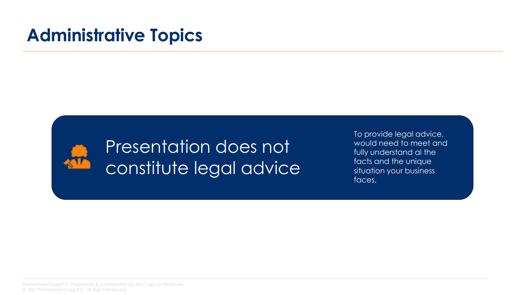#### **Administrative Topics**



#### Presentation does not constitute legal advice

To provide legal advice, would need to meet and fully understand al the facts and the unique situation your business faces.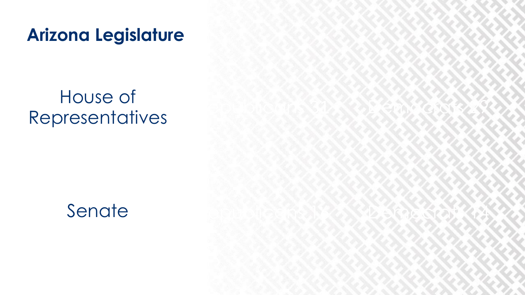**Arizona Legislature**

# House of House of Arizona Legislature<br>
House of<br>
Representatives<br>
Senate



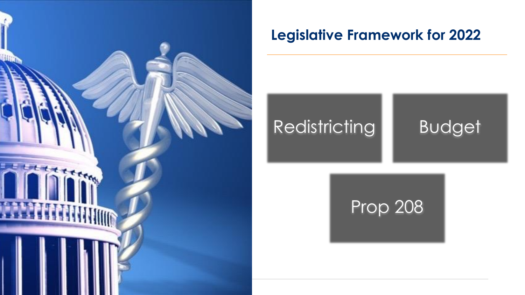

# Redistricting **Budget**

#### Prop 208 Prop 208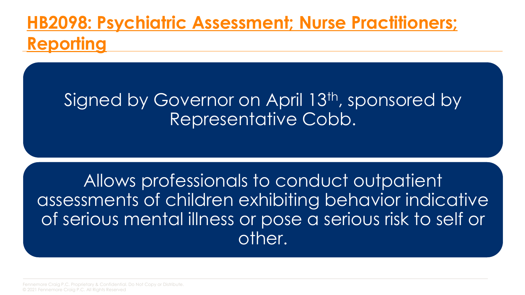## **[HB2098: Psychiatric Assessment; Nurse Practitioners;](https://www.azleg.gov/legtext/55leg/2R/laws/0122.pdf)  Reporting**

#### Signed by Governor on April 13<sup>th</sup>, sponsored by Representative Cobb.

Allows professionals to conduct outpatient assessments of children exhibiting behavior indicative of serious mental illness or pose a serious risk to self or other.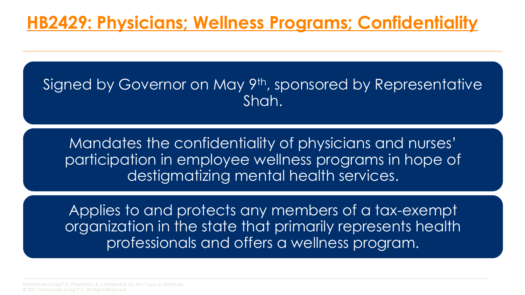#### Signed by Governor on May 9<sup>th</sup>, sponsored by Representative Shah.

Mandates the confidentiality of physicians and nurses' participation in employee wellness programs in hope of destigmatizing mental health services.

Applies to and protects any members of a tax-exempt organization in the state that primarily represents health professionals and offers a wellness program.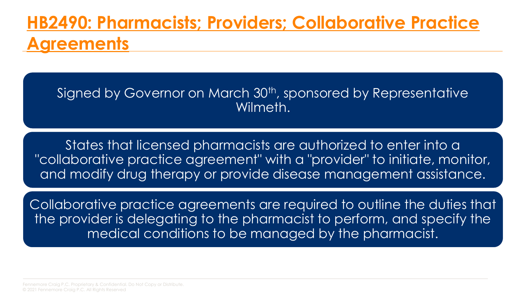### **[HB2490: Pharmacists; Providers; Collaborative Practice](https://www.azleg.gov/legtext/55leg/2R/laws/0098.pdf) Agreements**

Signed by Governor on March 30<sup>th</sup>, sponsored by Representative Wilmeth.

States that licensed pharmacists are authorized to enter into a "collaborative practice agreement" with a "provider" to initiate, monitor, and modify drug therapy or provide disease management assistance.

Collaborative practice agreements are required to outline the duties that the provider is delegating to the pharmacist to perform, and specify the medical conditions to be managed by the pharmacist.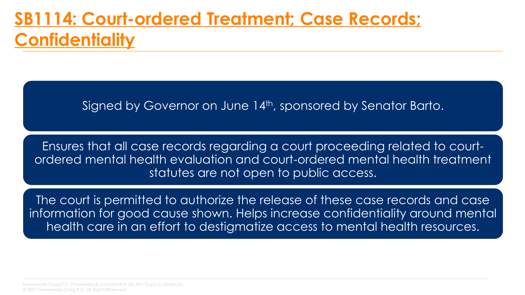#### **[SB1114: Court-ordered Treatment; Case Records;](https://www.azleg.gov/legtext/55leg/2R/bills/sb1114s.pdf)  Confidentiality**

Signed by Governor on June 14th, sponsored by Senator Barto.

Ensures that all case records regarding a court proceeding related to courtordered mental health evaluation and court-ordered mental health treatment statutes are not open to public access.

The court is permitted to authorize the release of these case records and case information for good cause shown. Helps increase confidentiality around mental health care in an effort to destigmatize access to mental health resources.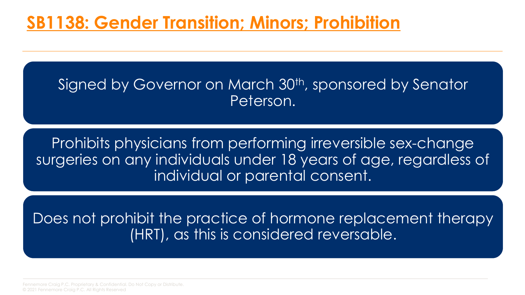#### **[SB1138: Gender Transition; Minors; Prohibition](https://www.azleg.gov/legtext/55leg/2R/laws/0104.pdf)**

#### Signed by Governor on March 30<sup>th</sup>, sponsored by Senator Peterson.

Prohibits physicians from performing irreversible sex-change surgeries on any individuals under 18 years of age, regardless of individual or parental consent.

Does not prohibit the practice of hormone replacement therapy (HRT), as this is considered reversable.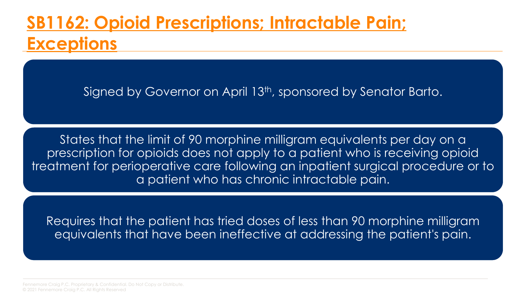### **[SB1162: Opioid Prescriptions; Intractable Pain;](https://www.azleg.gov/legtext/55leg/2R/bills/sb1162p.pdf) Exceptions**

Signed by Governor on April 13<sup>th</sup>, sponsored by Senator Barto.

States that the limit of 90 morphine milligram equivalents per day on a prescription for opioids does not apply to a patient who is receiving opioid treatment for perioperative care following an inpatient surgical procedure or to a patient who has chronic intractable pain.

Requires that the patient has tried doses of less than 90 morphine milligram equivalents that have been ineffective at addressing the patient's pain.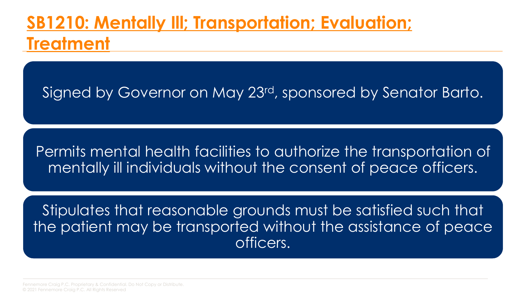### **[SB1210: Mentally Ill; Transportation; Evaluation;](https://www.azleg.gov/legtext/55leg/2R/laws/0250.pdf)  Treatment**

Signed by Governor on May 23<sup>rd</sup>, sponsored by Senator Barto.

Permits mental health facilities to authorize the transportation of mentally ill individuals without the consent of peace officers.

Stipulates that reasonable grounds must be satisfied such that the patient may be transported without the assistance of peace officers.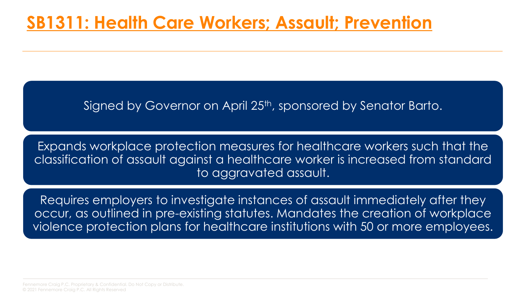#### **[SB1311: Health Care Workers; Assault; Prevention](https://www.azleg.gov/legtext/55leg/2R/laws/0190.pdf)**

Signed by Governor on April 25<sup>th</sup>, sponsored by Senator Barto.

Expands workplace protection measures for healthcare workers such that the classification of assault against a healthcare worker is increased from standard to aggravated assault.

Requires employers to investigate instances of assault immediately after they occur, as outlined in pre-existing statutes. Mandates the creation of workplace violence protection plans for healthcare institutions with 50 or more employees.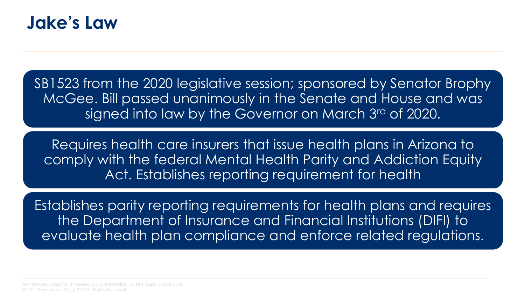

SB1523 from the 2020 legislative session; sponsored by Senator Brophy McGee. Bill passed unanimously in the Senate and House and was signed into law by the Governor on March 3rd of 2020.

Requires health care insurers that issue health plans in Arizona to comply with the federal Mental Health Parity and Addiction Equity Act. Establishes reporting requirement for health

Establishes parity reporting requirements for health plans and requires the Department of Insurance and Financial Institutions (DIFI) to evaluate health plan compliance and enforce related regulations.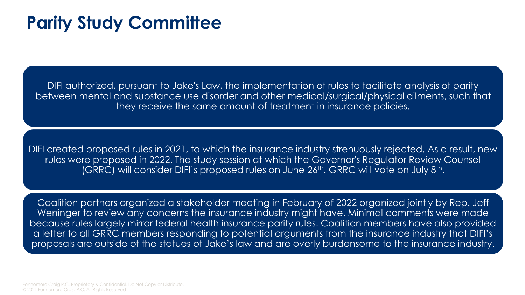#### **Parity Study Committee**

DIFI authorized, pursuant to Jake's Law, the implementation of rules to facilitate analysis of parity between mental and substance use disorder and other medical/surgical/physical ailments, such that they receive the same amount of treatment in insurance policies.

DIFI created proposed rules in 2021, to which the insurance industry strenuously rejected. As a result, new rules were proposed in 2022. The study session at which the Governor's Regulator Review Counsel (GRRC) will consider DIFI's proposed rules on June  $26<sup>th</sup>$ . GRRC will vote on July  $8<sup>th</sup>$ .

Coalition partners organized a stakeholder meeting in February of 2022 organized jointly by Rep. Jeff Weninger to review any concerns the insurance industry might have. Minimal comments were made because rules largely mirror federal health insurance parity rules. Coalition members have also provided a letter to all GRRC members responding to potential arguments from the insurance industry that DIFI's proposals are outside of the statues of Jake's law and are overly burdensome to the insurance industry.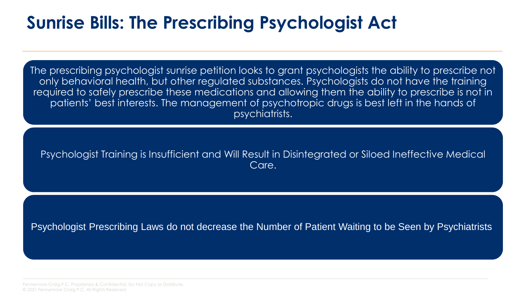#### **Sunrise Bills: The Prescribing Psychologist Act**

The prescribing psychologist sunrise petition looks to grant psychologists the ability to prescribe not only behavioral health, but other regulated substances. Psychologists do not have the training required to safely prescribe these medications and allowing them the ability to prescribe is not in patients' best interests. The management of psychotropic drugs is best left in the hands of psychiatrists.

#### Psychologist Training is Insufficient and Will Result in Disintegrated or Siloed Ineffective Medical Care.

Psychologist Prescribing Laws do not decrease the Number of Patient Waiting to be Seen by Psychiatrists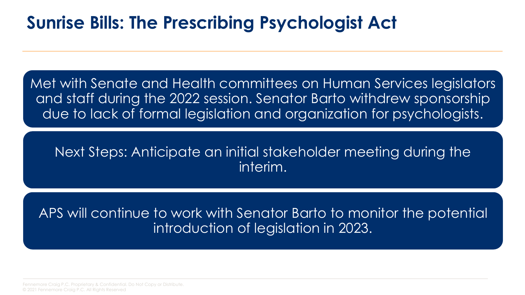#### **Sunrise Bills: The Prescribing Psychologist Act**

Met with Senate and Health committees on Human Services legislators and staff during the 2022 session. Senator Barto withdrew sponsorship due to lack of formal legislation and organization for psychologists.

#### Next Steps: Anticipate an initial stakeholder meeting during the interim.

APS will continue to work with Senator Barto to monitor the potential introduction of legislation in 2023.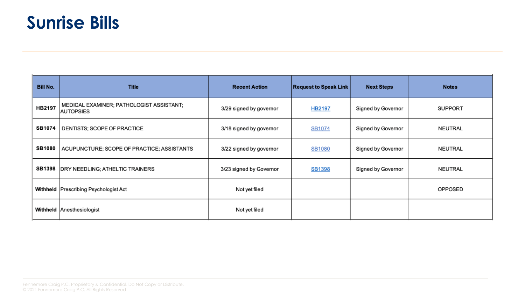#### **Sunrise Bills**

| Bill No.      | <b>Title</b>                                                 | <b>Recent Action</b>    | <b>Request to Speak Link</b> | <b>Next Steps</b>  | <b>Notes</b>   |
|---------------|--------------------------------------------------------------|-------------------------|------------------------------|--------------------|----------------|
| HB2197        | MEDICAL EXAMINER; PATHOLOGIST ASSISTANT;<br><b>AUTOPSIES</b> | 3/29 signed by governor | HB2197                       | Signed by Governor | <b>SUPPORT</b> |
| <b>SB1074</b> | DENTISTS; SCOPE OF PRACTICE                                  | 3/18 signed by governor | SB1074                       | Signed by Governor | NEUTRAL        |
| <b>SB1080</b> | ACUPUNCTURE; SCOPE OF PRACTICE; ASSISTANTS                   | 3/22 signed by governor | SB1080                       | Signed by Governor | NEUTRAL        |
| <b>SB1398</b> | DRY NEEDLING; ATHELTIC TRAINERS                              | 3/23 signed by Governor | <b>SB1398</b>                | Signed by Governor | NEUTRAL        |
|               | Withheld   Prescribing Psychologist Act                      | Not yet filed           |                              |                    | OPPOSED        |
|               | Withheld Anesthesiologist                                    | Not yet filed           |                              |                    |                |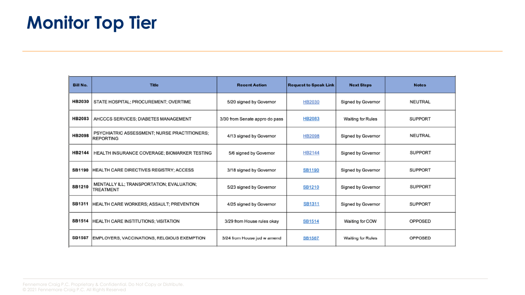| <b>Bill No.</b> | <b>Title</b>                                                  | <b>Recent Action</b>           | <b>Request to Speak Link</b> | <b>Next Steps</b>  | <b>Notes</b>   |
|-----------------|---------------------------------------------------------------|--------------------------------|------------------------------|--------------------|----------------|
| HB2030          | STATE HOSPITAL; PROCUREMENT; OVERTIME                         | 5/20 signed by Governor        | HB2030                       | Signed by Governor | NEUTRAL        |
| <b>HB2083</b>   | AHCCCS SERVICES; DIABETES MANAGEMENT                          | 3/30 from Senate appro do pass | <b>HB2083</b>                | Waiting for Rules  | SUPPORT        |
| <b>HB2098</b>   | PSYCHIATRIC ASSESSMENT: NURSE PRACTITIONERS;<br>REPORTING     | 4/13 signed by Governor        | <b>HB2098</b>                | Signed by Governor | NEUTRAL        |
| HB2144          | HEALTH INSURANCE COVERAGE; BIOMARKER TESTING                  | 5/6 signed by Governor         | HB2144                       | Signed by Governor | SUPPORT        |
| <b>SB1190</b>   | HEALTH CARE DIRECTIVES REGISTRY; ACCESS                       | 3/18 signed by Governor        | <b>SB1190</b>                | Signed by Governor | SUPPORT        |
| <b>SB1210</b>   | MENTALLY ILL; TRANSPORTATION; EVALUATION;<br><b>TREATMENT</b> | 5/23 signed by Governor        | SB1210                       | Signed by Governor | <b>SUPPORT</b> |
| SB1311          | HEALTH CARE WORKERS; ASSAULT; PREVENTION                      | 4/25 signed by Governor        | SB1311                       | Signed by Governor | <b>SUPPORT</b> |
| <b>SB1514</b>   | HEALTH CARE INSTITUTIONS; VISITATION                          | 3/29 from House rules okay     | SB1514                       | Waiting for COW    | OPPOSED        |
| <b>SB1567</b>   | EMPLOYERS; VACCINATIONS; RELGIOUS EXEMPTION                   | 3/24 from House jud w amend    | <b>SB1567</b>                | Waiting for Rules  | OPPOSED        |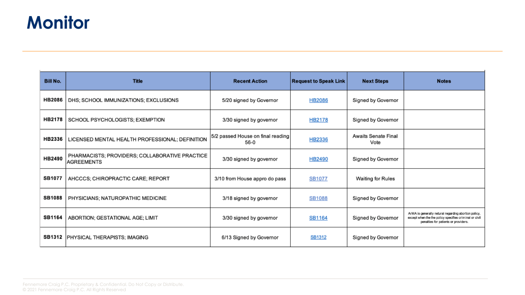#### **Monitor**

| <b>Bill No.</b> | <b>Title</b>                                                        | <b>Recent Action</b>                      | <b>Request to Speak Link</b> | <b>Next Steps</b>                  | <b>Notes</b>                                                                                                                                           |
|-----------------|---------------------------------------------------------------------|-------------------------------------------|------------------------------|------------------------------------|--------------------------------------------------------------------------------------------------------------------------------------------------------|
| <b>HB2086</b>   | DHS; SCHOOL IMMUNIZATIONS; EXCLUSIONS                               | 5/20 signed by Governor                   | <b>HB2086</b>                | Signed by Governor                 |                                                                                                                                                        |
| <b>HB2178</b>   | SCHOOL PSYCHOLOGISTS; EXEMPTION                                     | 3/30 signed by governor                   | HB2178                       | Signed by Governor                 |                                                                                                                                                        |
| HB2336          | LICENSED MENTAL HEALTH PROFESSIONAL; DEFINITION                     | 5/2 passed House on final reading<br>56-0 | HB2336                       | <b>Awaits Senate Final</b><br>Vote |                                                                                                                                                        |
| HB2490          | PHARMACISTS; PROVIDERS; COLLABORATIVE PRACTICE<br><b>AGREEMENTS</b> | 3/30 signed by governor                   | HB2490                       | Signed by Governor                 |                                                                                                                                                        |
| <b>SB1077</b>   | AHCCCS; CHIROPRACTIC CARE; REPORT                                   | 3/10 from House appro do pass             | SB1077                       | Waiting for Rules                  |                                                                                                                                                        |
| <b>SB1088</b>   | PHYSICIANS; NATUROPATHIC MEDICINE                                   | 3/18 signed by governor                   | SB1088                       | Signed by Governor                 |                                                                                                                                                        |
| <b>SB1164</b>   | ABORTION; GESTATIONAL AGE; LIMIT                                    | 3/30 signed by governor                   | <b>SB1164</b>                | Signed by Governor                 | ArMA is generally netural regarding abortion policy,<br>except when the the policy specifies criminal or civil<br>penalties for patients or providers. |
|                 | <b>SB1312   PHYSICAL THERAPISTS; IMAGING</b>                        | 6/13 Signed by Governor                   | <b>SB1312</b>                | Signed by Governor                 |                                                                                                                                                        |